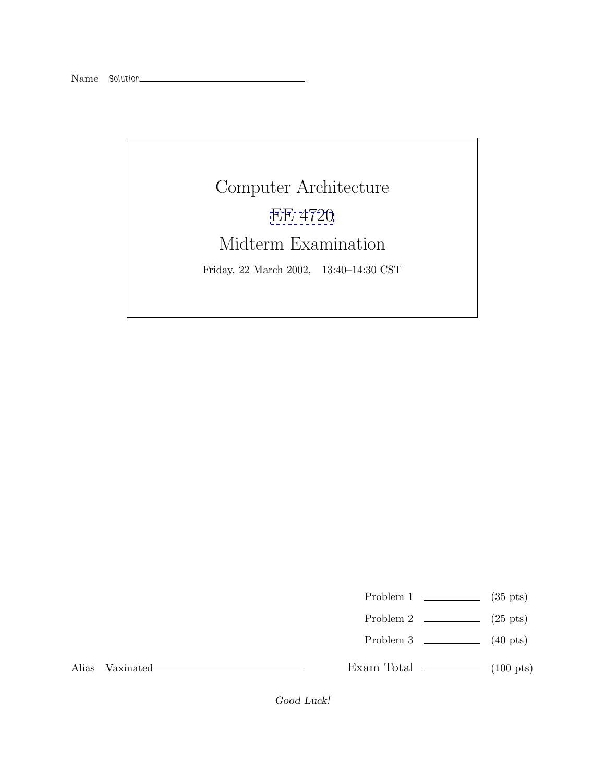## Computer Architecture [EE 4720](http://www.ece.lsu.edu/ee4720/) Midterm Examination Friday, 22 March 2002, 13:40–14:30 CST

Problem 1  $\qquad \qquad$  (35 pts)

- Problem 2  $\qquad \qquad$  (25 pts)
- Problem  $3 \t\t(40 \text{ pts})$

Alias Vaxinated

Exam Total  $\qquad \qquad$  (100 pts)

Good Luck!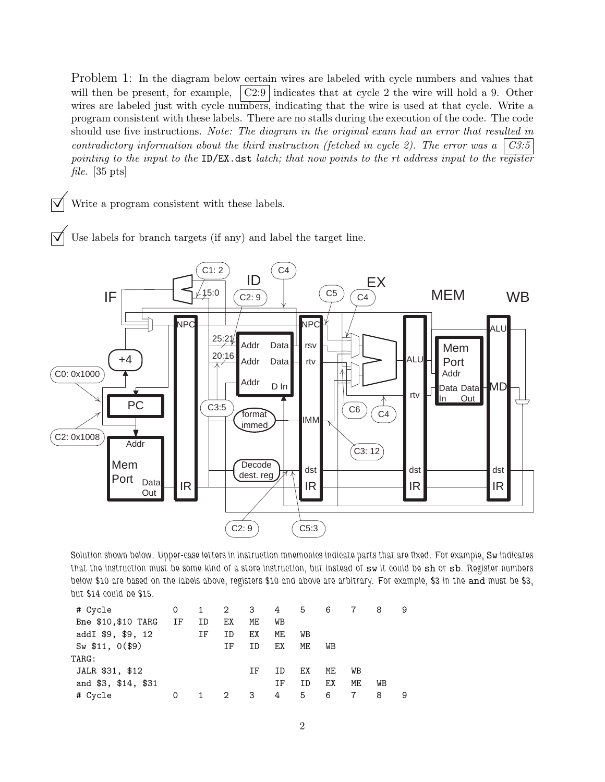Problem 1: In the diagram below certain wires are labeled with cycle numbers and values that will then be present, for example,  $\vert$  C2:9 indicates that at cycle 2 the wire will hold a 9. Other wires are labeled just with cycle numbers, indicating that the wire is used at that cycle. Write a program consistent with these labels. There are no stalls during the execution of the code. The code should use five instructions. *Note: The diagram in the original exam had an error that resulted in contradictory information about the third instruction (fetched in cycle 2). The error was a C3:5 pointing to the input to the* ID/EX.dst *latch; that now points to the rt address input to the register file.* [35 pts]

Write a program consistent with these labels.

Use labels for branch targets (if any) and label the target line.



*Solution shown below. Upper-case letters in instruction mnemonics indicate parts that are fixed. For example,* Sw *indicates that the instruction must be some kind of a store instruction, but instead of* sw *it could be* sh *or* sb*. Register numbers below £10 are based on the labels above, registers £10 and above are arbitrary. For example, £3 in the* and *must be £3, but £14 could be £15.*

| # Cycle             | 0    |    |    |                         | 1 2 3 4 5 6 |    |    |    | 8  | 9 |
|---------------------|------|----|----|-------------------------|-------------|----|----|----|----|---|
| Bne \$10, \$10 TARG | IF — | ID | ЕX | ME                      | WВ          |    |    |    |    |   |
| addI \$9, \$9, 12   |      | ΙF | ΙD | ЕX                      | МE          | WВ |    |    |    |   |
| Sw \$11, 0(\$9)     |      |    | ΙF | ID                      | ЕX          | МE | WВ |    |    |   |
| TARG:               |      |    |    |                         |             |    |    |    |    |   |
| JALR \$31, \$12     |      |    |    | ΤF                      | ΙD          | EX | ME | WВ |    |   |
| and \$3, \$14, \$31 |      |    |    |                         | ΙF          | ID | ЕX | МE | WВ |   |
| # Cycle             | 0    | 1  | 2  | $\overline{\mathbf{3}}$ | $4 \quad$   | 5  | 6  |    | 8  |   |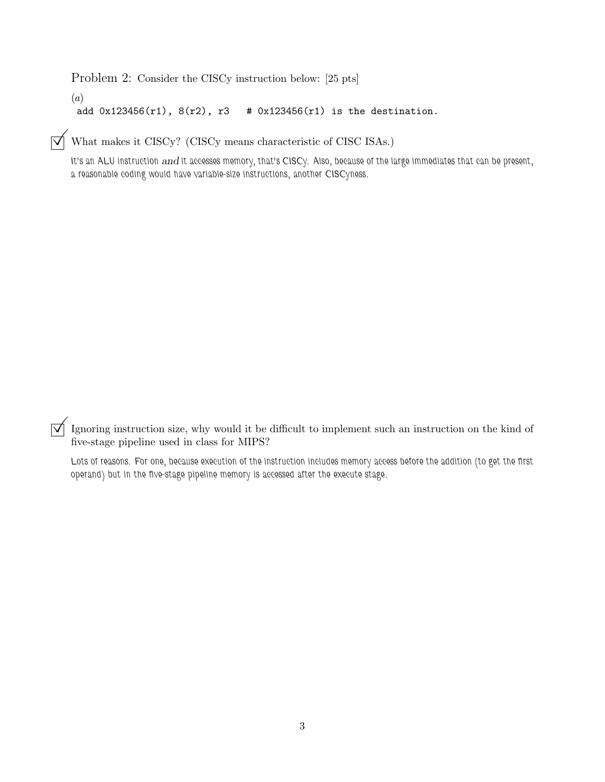Problem 2: Consider the CISCy instruction below: [25 pts]

(*a*) add  $0x123456(r1)$ ,  $8(r2)$ ,  $r3$  #  $0x123456(r1)$  is the destination.

 $\boxed{\bigtriangledown}$  What makes it CISCy? (CISCy means characteristic of CISC ISAs.)

*It's an ALU instruction* and *it accesses memory, that's CISCy. Also, because of the large immediates that can be present, a reasonable coding would have variable-size instructions, another CISCyness.*

 $\vec{\nabla}$  Ignoring instruction size, why would it be difficult to implement such an instruction on the kind of five-stage pipeline used in class for MIPS?

*Lots of reasons. For one, because execution of the instruction includes memory access before the addition (to get the first operand) but in the five-stage pipeline memory is accessed after the execute stage.*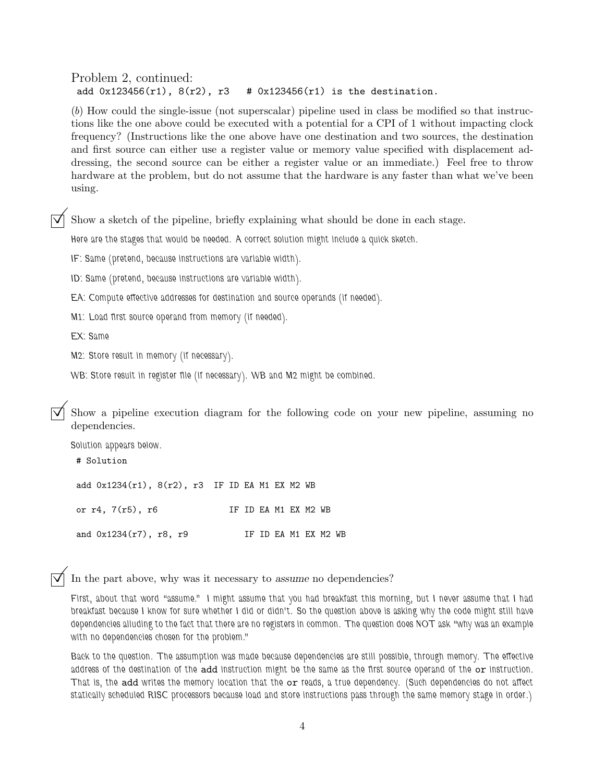Problem 2, continued: add  $0x123456(r1)$ ,  $8(r2)$ ,  $r3$  #  $0x123456(r1)$  is the destination.

(*b*) How could the single-issue (not superscalar) pipeline used in class be modified so that instructions like the one above could be executed with a potential for a CPI of 1 without impacting clock frequency? (Instructions like the one above have one destination and two sources, the destination and first source can either use a register value or memory value specified with displacement addressing, the second source can be either a register value or an immediate.) Feel free to throw hardware at the problem, but do not assume that the hardware is any faster than what we've been using.

©Show a sketch of the pipeline, briefly explaining what should be done in each stage.

*Here are the stages that would be needed. A correct solution might include a quick sketch.*

*IF: Same (pretend, because instructions are variable width).*

*ID: Same (pretend, because instructions are variable width).*

*EA: Compute effective addresses for destination and source operands (if needed).*

*M1: Load first source operand from memory (if needed).*

*EX: Same*

*M2: Store result in memory (if necessary).*

*WB: Store result in register file (if necessary). WB and M2 might be combined.*

Show a pipeline execution diagram for the following code on your new pipeline, assuming no dependencies.

*Solution appears below.* # Solution add 0x1234(r1), 8(r2), r3 IF ID EA M1 EX M2 WB or r4, 7(r5), r6 IF ID EA M1 EX M2 WB and  $0x1234(r7)$ ,  $r8$ ,  $r9$  IF ID EA M1 EX M2 WB

In the part above, why was it necessary to assume no dependencies?

*First, about that word "assume." I might assume that you had breakfast this morning, but I never assume that I had breakfast because I know for sure whether I did or didn't. So the question above is asking why the code might still have dependencies alluding to the fact that there are no registers in common. The question does NOT ask "why was an example with no dependencies chosen for the problem."*

*Back to the question. The assumption was made because dependencies are still possible, through memory. The effective address of the destination of the* add *instruction might be the same as the first source operand of the* or *instruction. That is, the* add *writes the memory location that the* or *reads, a true dependency. (Such dependencies do not affect statically scheduled RISC processors because load and store instructions pass through the same memory stage in order.)*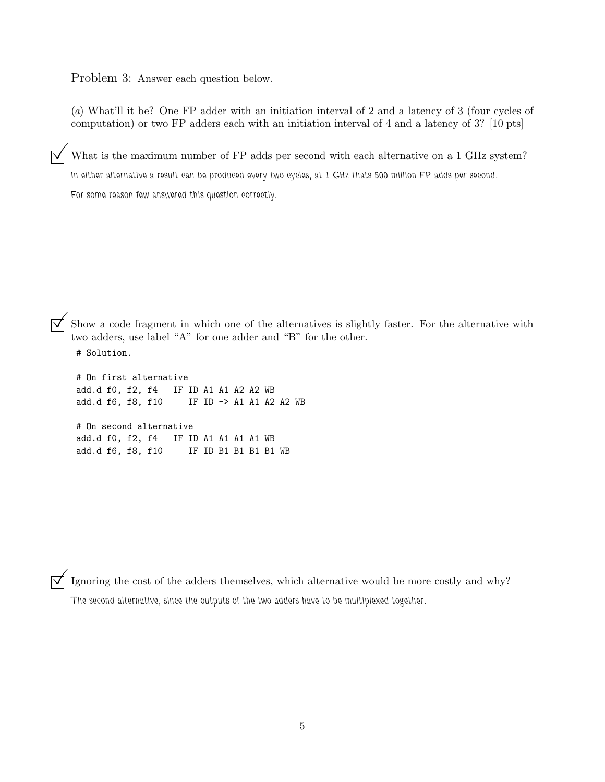Problem 3: Answer each question below.

(*a*) What'll it be? One FP adder with an initiation interval of 2 and a latency of 3 (four cycles of computation) or two FP adders each with an initiation interval of 4 and a latency of 3? [10 pts]

What is the maximum number of FP adds per second with each alternative on a 1 GHz system? *In either alternative a result can be produced every two cycles, at 1 GHz thats 500 million FP adds per second. For some reason few answered this question correctly.*

Show a code fragment in which one of the alternatives is slightly faster. For the alternative with two adders, use label "A" for one adder and "B" for the other.

# Solution.

# On first alternative add.d f0, f2, f4 IF ID A1 A1 A2 A2 WB add.d f6, f8, f10 IF ID -> A1 A1 A2 A2 WB # On second alternative add.d f0, f2, f4 IF ID A1 A1 A1 A1 WB add.d f6, f8, f10 IF ID B1 B1 B1 B1 WB

Ignoring the cost of the adders themselves, which alternative would be more costly and why? *The second alternative, since the outputs of the two adders have to be multiplexed together.*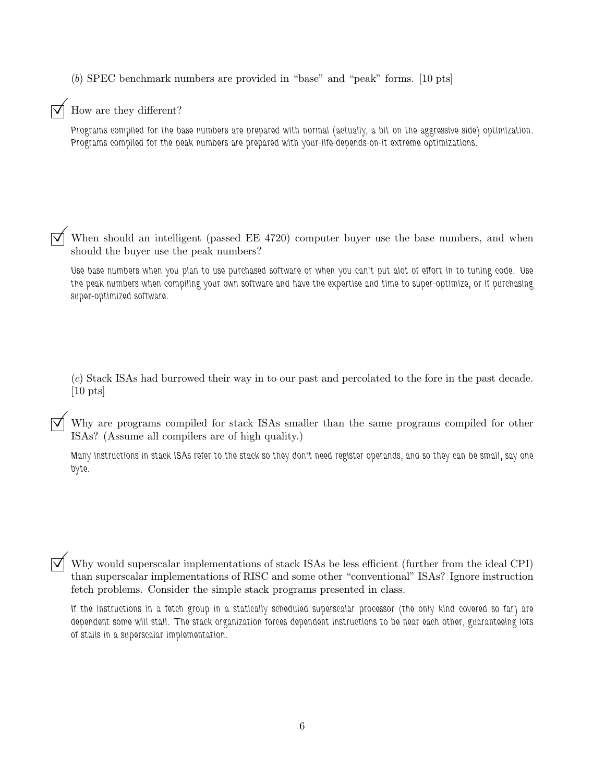(*b*) SPEC benchmark numbers are provided in "base" and "peak" forms. [10 pts]

## How are they different?

*Programs compiled for the base numbers are prepared with normal (actually, a bit on the aggressive side) optimization. Programs compiled for the peak numbers are prepared with your-life-depends-on-it extreme optimizations.*

When should an intelligent (passed EE 4720) computer buyer use the base numbers, and when should the buyer use the peak numbers?

*Use base numbers when you plan to use purchased software or when you can't put alot of effort in to tuning code. Use the peak numbers when compiling your own software and have the expertise and time to super-optimize, or if purchasing super-optimized software.*

(*c*) Stack ISAs had burrowed their way in to our past and percolated to the fore in the past decade.  $[10 \text{ pts}]$ 

 $\overrightarrow{\mathsf{M}}$  Why are programs compiled for stack ISAs smaller than the same programs compiled for other ISAs? (Assume all compilers are of high quality.)

*Many instructions in stack ISAs refer to the stack so they don't need register operands, and so they can be small, say one byte.*

 $\overline{y}$  Why would superscalar implementations of stack ISAs be less efficient (further from the ideal CPI) than superscalar implementations of RISC and some other "conventional" ISAs? Ignore instruction fetch problems. Consider the simple stack programs presented in class.

*If the instructions in a fetch group in a statically scheduled superscalar processor (the only kind covered so far) are dependent some will stall. The stack organization forces dependent instructions to be near each other, guaranteeing lots of stalls in a superscalar implementation.*